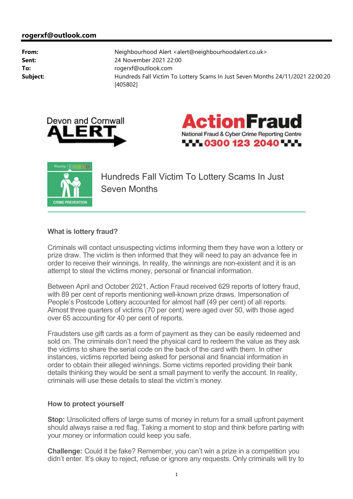





Hundreds Fall Victim To Lottery Scams In Just Seven Months

## **What is lottery fraud?**

Criminals will contact unsuspecting victims informing them they have won a lottery or prize draw. The victim is then informed that they will need to pay an advance fee in order to receive their winnings. In reality, the winnings are non-existent and it is an attempt to steal the victims money, personal or financial information.

Between April and October 2021, Action Fraud received 629 reports of lottery fraud, with 89 per cent of reports mentioning well-known prize draws. Impersonation of People's Postcode Lottery accounted for almost half (49 per cent) of all reports. Almost three quarters of victims (70 per cent) were aged over 50, with those aged over 65 accounting for 40 per cent of reports.

Fraudsters use gift cards as a form of payment as they can be easily redeemed and sold on. The criminals don't need the physical card to redeem the value as they ask the victims to share the serial code on the back of the card with them. In other instances, victims reported being asked for personal and financial information in order to obtain their alleged winnings. Some victims reported providing their bank details thinking they would be sent a small payment to verify the account. In reality, criminals will use these details to steal the victim's money.

## **How to protect yourself**

**Stop:** Unsolicited offers of large sums of money in return for a small upfront payment should always raise a red flag. Taking a moment to stop and think before parting with your money or information could keep you safe.

**Challenge:** Could it be fake? Remember, you can't win a prize in a competition you didn't enter. It's okay to reject, refuse or ignore any requests. Only criminals will try to